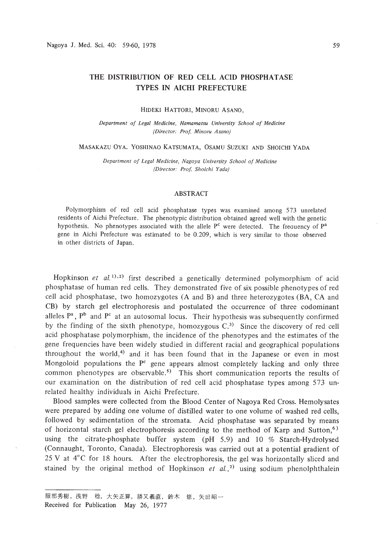# THE DISTRIBUTION OF RED CELL ACID PHOSPHATASE TYPES IN AICHI PREFECTURE

#### HIDEKI HATTORI, MINORU ASANO,

*Department of Legal Medicine, Hamamatsu University School of Medicine (Director: Prof Minoru Asano)*

### MASAKAZU OVA. YOSHINAO KATSUMATA, OSAMU SUZUKI AND SHOICHI YADA

*Department of Legal Medicine. Nagoya University School of Medicine (Director: Prof Shoichi Yada)*

## ABSTRACT

Polymorphism of red cell acid phosphatase types was examined among 573 unrelated residents of Aichi Prefecture. The phenotypic distribution obtained agreed well with the genetic hypothesis. No phenotypes associated with the allele  $P<sup>c</sup>$  were detected. The frequency of  $P<sup>a</sup>$ gene in Aichi Prefecture was estimated to be 0.209, which is very similar to those observed in other districts of Japan.

Hopkinson *et*  $aL^{(1)},a$  first described a genetically determined polymorphism of acid phosphatase of human red cells. They demonstrated five of six possible phenotypes of red cell acid phosphatase, two homozygotes (A and B) and three heterozygotes (BA, CA and CB) by starch gel electrophoresis and postulated the occurrence of three codominant alleles  $P^a$ ,  $P^b$  and  $P^c$  at an autosomal locus. Their hypothesis was subsequently confirmed by the finding of the sixth phenotype, homozygous  $C<sup>3</sup>$ . Since the discovery of red cell acid phosphatase polymorphism, the incidence of the phenotypes and the estimates of the gene frequencies have been widely studied in different racial and geographical populations throughout the world,<sup>4)</sup> and it has been found that in the Japanese or even in most Mongoloid populations the  $P<sup>c</sup>$  gene appears almost completely lacking and only three common phenotypes are observable.<sup>5)</sup> This short communication reports the results of our examination on the distribution of red cell acid phosphatase types among 573 unrelated healthy individuals in Aichi Prefecture.

Blood samples were collected from the Blood Center of Nagoya Red Cross. Hemolysates were prepared by adding one volume of distilled water to one volume of washed red cells, followed by sedimentation of the stromata. Acid phosphatase was separated by means of horizontal starch gel electrophoresis according to the method of Karp and Sutton,<sup>6)</sup> using the citrate-phosphate buffer system (pH 5.9) and 10 % Starch-Hydrolysed (Connaught, Toronto, Canada). Electrophoresis was carried out at a potential gradient of 25 V at  $4^{\circ}$ C for 18 hours. After the electrophoresis, the gel was horizontally sliced and stained by the original method of Hopkinson  $et$   $al.^2$  using sodium phenolphthalein

服部秀樹,浅野 稔,大矢正算,勝又義直,鈴木 修,矢田昭一

Received for Publication May 26, 1977